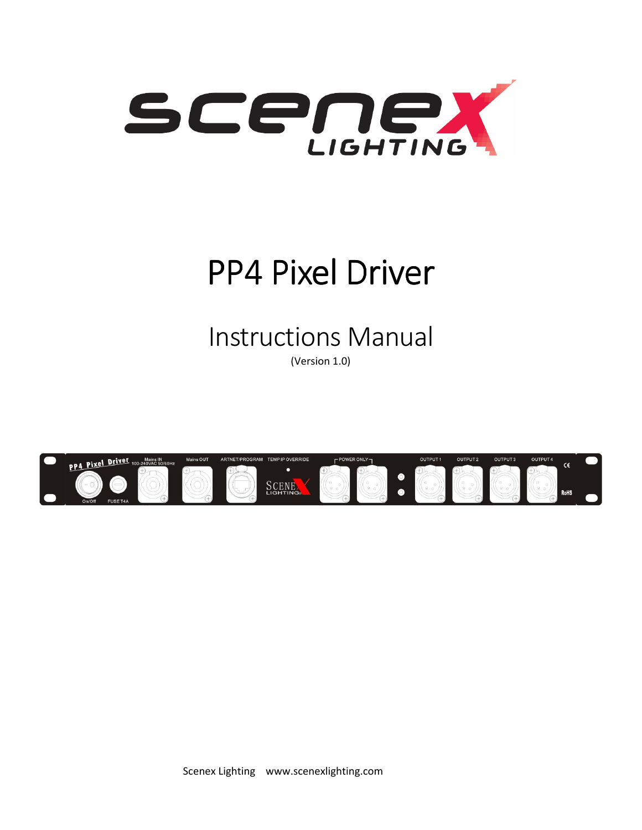

# PP4 Pixel Driver

Instructions Manual

(Version 1.0)

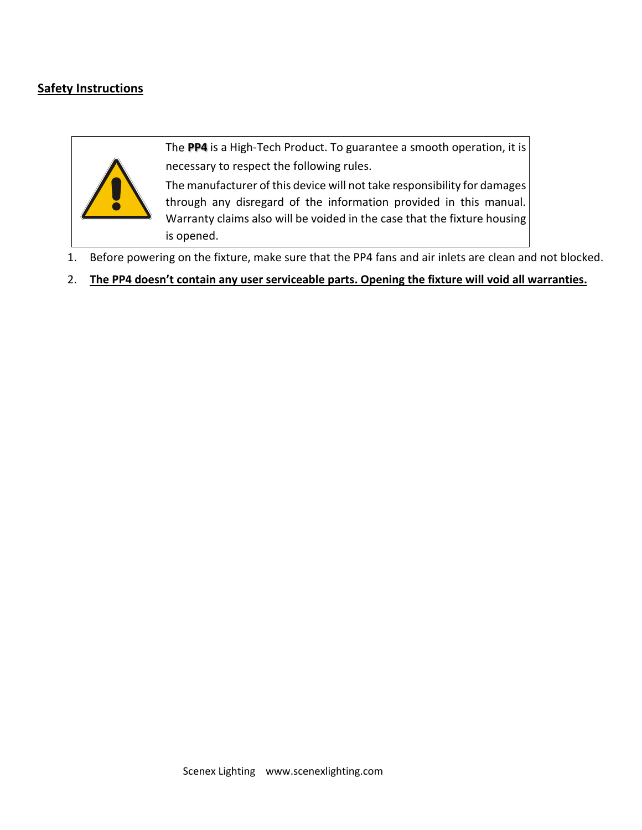# **Safety Instructions**



The **PP4** is a High-Tech Product. To guarantee a smooth operation, it is necessary to respect the following rules.

The manufacturer of this device will not take responsibility for damages through any disregard of the information provided in this manual. Warranty claims also will be voided in the case that the fixture housing is opened.

- 1. Before powering on the fixture, make sure that the PP4 fans and air inlets are clean and not blocked.
- 2. **The PP4 doesn't contain any user serviceable parts. Opening the fixture will void all warranties.**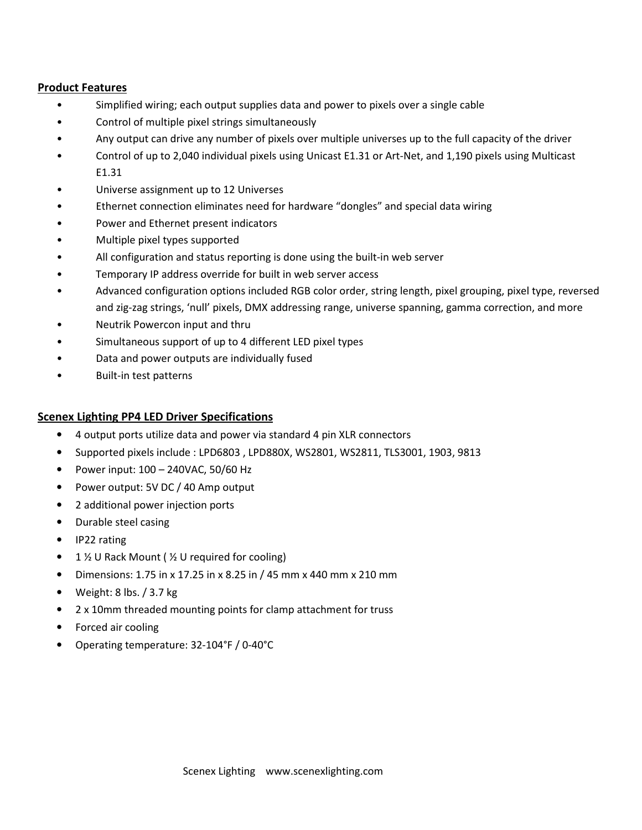#### **Product Features**

- Simplified wiring; each output supplies data and power to pixels over a single cable
- Control of multiple pixel strings simultaneously
- Any output can drive any number of pixels over multiple universes up to the full capacity of the driver
- Control of up to 2,040 individual pixels using Unicast E1.31 or Art-Net, and 1,190 pixels using Multicast E1.31
- Universe assignment up to 12 Universes
- Ethernet connection eliminates need for hardware "dongles" and special data wiring
- Power and Ethernet present indicators
- Multiple pixel types supported
- All configuration and status reporting is done using the built-in web server
- Temporary IP address override for built in web server access
- Advanced configuration options included RGB color order, string length, pixel grouping, pixel type, reversed and zig-zag strings, 'null' pixels, DMX addressing range, universe spanning, gamma correction, and more
- Neutrik Powercon input and thru
- Simultaneous support of up to 4 different LED pixel types
- Data and power outputs are individually fused
- Built-in test patterns

#### **Scenex Lighting PP4 LED Driver Specifications**

- 4 output ports utilize data and power via standard 4 pin XLR connectors
- Supported pixels include : LPD6803 , LPD880X, WS2801, WS2811, TLS3001, 1903, 9813
- Power input: 100 240VAC, 50/60 Hz
- Power output: 5V DC / 40 Amp output
- 2 additional power injection ports
- Durable steel casing
- IP22 rating
- 1 % U Rack Mount ( % U required for cooling)
- Dimensions: 1.75 in x 17.25 in x 8.25 in / 45 mm x 440 mm x 210 mm
- Weight: 8 lbs. / 3.7 kg
- 2 x 10mm threaded mounting points for clamp attachment for truss
- Forced air cooling
- Operating temperature: 32-104°F / 0-40°C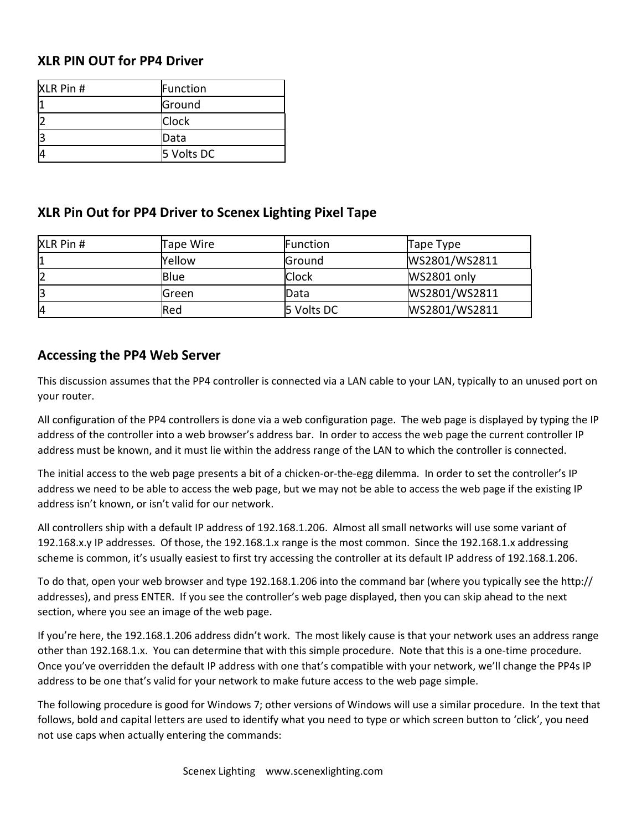## **XLR PIN OUT for PP4 Driver**

| XLR Pin # | Function     |
|-----------|--------------|
|           | Ground       |
|           | <b>Clock</b> |
|           | Data         |
|           | 5 Volts DC   |

# **XLR Pin Out for PP4 Driver to Scenex Lighting Pixel Tape**

| <b>XLR Pin #</b> | Tape Wire | Function     | Tape Type     |
|------------------|-----------|--------------|---------------|
|                  | Yellow    | Ground       | WS2801/WS2811 |
|                  | Blue      | <b>Clock</b> | WS2801 only   |
|                  | lGreen    | <b>IData</b> | WS2801/WS2811 |
| I4               | Red       | 5 Volts DC   | WS2801/WS2811 |

# **Accessing the PP4 Web Server**

This discussion assumes that the PP4 controller is connected via a LAN cable to your LAN, typically to an unused port on your router.

All configuration of the PP4 controllers is done via a web configuration page. The web page is displayed by typing the IP address of the controller into a web browser's address bar. In order to access the web page the current controller IP address must be known, and it must lie within the address range of the LAN to which the controller is connected.

The initial access to the web page presents a bit of a chicken-or-the-egg dilemma. In order to set the controller's IP address we need to be able to access the web page, but we may not be able to access the web page if the existing IP address isn't known, or isn't valid for our network.

All controllers ship with a default IP address of 192.168.1.206. Almost all small networks will use some variant of 192.168.x.y IP addresses. Of those, the 192.168.1.x range is the most common. Since the 192.168.1.x addressing scheme is common, it's usually easiest to first try accessing the controller at its default IP address of 192.168.1.206.

To do that, open your web browser and type 192.168.1.206 into the command bar (where you typically see the http:// addresses), and press ENTER. If you see the controller's web page displayed, then you can skip ahead to the next section, where you see an image of the web page.

If you're here, the 192.168.1.206 address didn't work. The most likely cause is that your network uses an address range other than 192.168.1.x. You can determine that with this simple procedure. Note that this is a one-time procedure. Once you've overridden the default IP address with one that's compatible with your network, we'll change the PP4s IP address to be one that's valid for your network to make future access to the web page simple.

The following procedure is good for Windows 7; other versions of Windows will use a similar procedure. In the text that follows, bold and capital letters are used to identify what you need to type or which screen button to 'click', you need not use caps when actually entering the commands: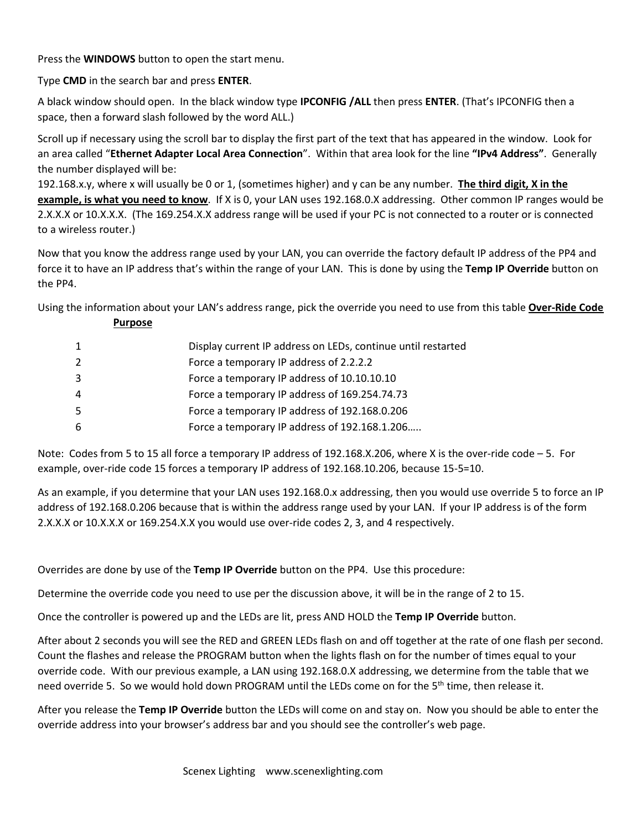Press the **WINDOWS** button to open the start menu.

Type **CMD** in the search bar and press **ENTER**.

A black window should open. In the black window type **IPCONFIG /ALL** then press **ENTER**. (That's IPCONFIG then a space, then a forward slash followed by the word ALL.)

Scroll up if necessary using the scroll bar to display the first part of the text that has appeared in the window. Look for an area called "**Ethernet Adapter Local Area Connection**". Within that area look for the line **"IPv4 Address"**. Generally the number displayed will be:

192.168.x.y, where x will usually be 0 or 1, (sometimes higher) and y can be any number. **The third digit, X in the example, is what you need to know**. If X is 0, your LAN uses 192.168.0.X addressing. Other common IP ranges would be 2.X.X.X or 10.X.X.X. (The 169.254.X.X address range will be used if your PC is not connected to a router or is connected to a wireless router.)

Now that you know the address range used by your LAN, you can override the factory default IP address of the PP4 and force it to have an IP address that's within the range of your LAN. This is done by using the **Temp IP Override** button on the PP4.

Using the information about your LAN's address range, pick the override you need to use from this table **Over-Ride Code** 

|  | <b>Purpose</b> |  |
|--|----------------|--|
|  |                |  |

| 1 | Display current IP address on LEDs, continue until restarted |
|---|--------------------------------------------------------------|
| 2 | Force a temporary IP address of 2.2.2.2                      |
| 3 | Force a temporary IP address of 10.10.10.10                  |
| 4 | Force a temporary IP address of 169.254.74.73                |
| 5 | Force a temporary IP address of 192.168.0.206                |
| 6 | Force a temporary IP address of 192.168.1.206                |
|   |                                                              |

Note: Codes from 5 to 15 all force a temporary IP address of 192.168.X.206, where X is the over-ride code – 5. For example, over-ride code 15 forces a temporary IP address of 192.168.10.206, because 15-5=10.

As an example, if you determine that your LAN uses 192.168.0.x addressing, then you would use override 5 to force an IP address of 192.168.0.206 because that is within the address range used by your LAN. If your IP address is of the form 2.X.X.X or 10.X.X.X or 169.254.X.X you would use over-ride codes 2, 3, and 4 respectively.

Overrides are done by use of the **Temp IP Override** button on the PP4. Use this procedure:

Determine the override code you need to use per the discussion above, it will be in the range of 2 to 15.

Once the controller is powered up and the LEDs are lit, press AND HOLD the **Temp IP Override** button.

After about 2 seconds you will see the RED and GREEN LEDs flash on and off together at the rate of one flash per second. Count the flashes and release the PROGRAM button when the lights flash on for the number of times equal to your override code. With our previous example, a LAN using 192.168.0.X addressing, we determine from the table that we need override 5. So we would hold down PROGRAM until the LEDs come on for the 5<sup>th</sup> time, then release it.

After you release the **Temp IP Override** button the LEDs will come on and stay on. Now you should be able to enter the override address into your browser's address bar and you should see the controller's web page.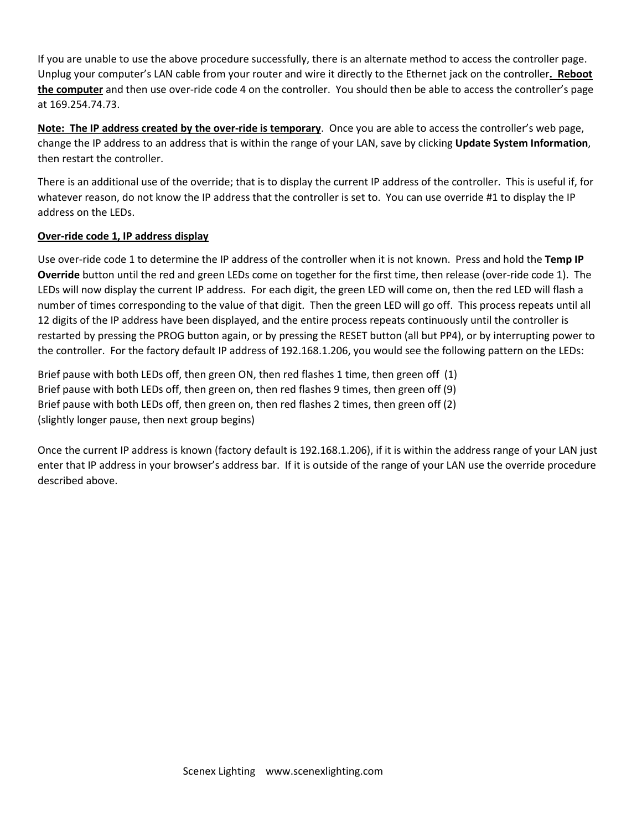If you are unable to use the above procedure successfully, there is an alternate method to access the controller page. Unplug your computer's LAN cable from your router and wire it directly to the Ethernet jack on the controller**. Reboot the computer** and then use over-ride code 4 on the controller. You should then be able to access the controller's page at 169.254.74.73.

**Note: The IP address created by the over-ride is temporary**. Once you are able to access the controller's web page, change the IP address to an address that is within the range of your LAN, save by clicking **Update System Information**, then restart the controller.

There is an additional use of the override; that is to display the current IP address of the controller. This is useful if, for whatever reason, do not know the IP address that the controller is set to. You can use override #1 to display the IP address on the LEDs.

#### **Over-ride code 1, IP address display**

Use over-ride code 1 to determine the IP address of the controller when it is not known. Press and hold the **Temp IP Override** button until the red and green LEDs come on together for the first time, then release (over-ride code 1). The LEDs will now display the current IP address. For each digit, the green LED will come on, then the red LED will flash a number of times corresponding to the value of that digit. Then the green LED will go off. This process repeats until all 12 digits of the IP address have been displayed, and the entire process repeats continuously until the controller is restarted by pressing the PROG button again, or by pressing the RESET button (all but PP4), or by interrupting power to the controller. For the factory default IP address of 192.168.1.206, you would see the following pattern on the LEDs:

Brief pause with both LEDs off, then green ON, then red flashes 1 time, then green off (1) Brief pause with both LEDs off, then green on, then red flashes 9 times, then green off (9) Brief pause with both LEDs off, then green on, then red flashes 2 times, then green off (2) (slightly longer pause, then next group begins)

Once the current IP address is known (factory default is 192.168.1.206), if it is within the address range of your LAN just enter that IP address in your browser's address bar. If it is outside of the range of your LAN use the override procedure described above.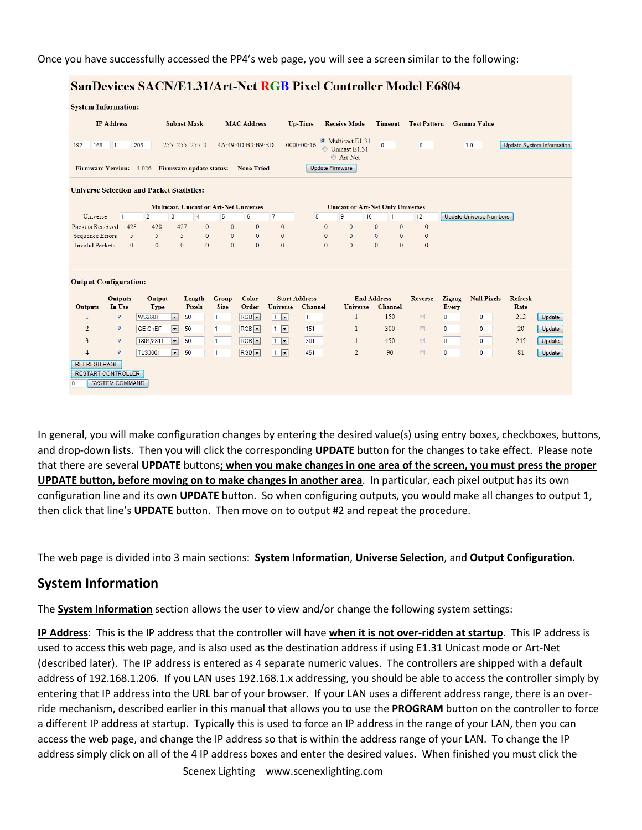Once you have successfully accessed the PP4's web page, you will see a screen similar to the following:

#### SanDevices SACN/E1.31/Art-Net RGB Pixel Controller Model E6804

| <b>IP Address</b>                                                                                           |                                                    |                             |                                                  | <b>Subnet Mask</b> |                                                | <b>MAC Address</b> |                      | Up-Time                        | <b>Receive Mode</b>                                             | <b>Timeout</b>               | <b>Test Pattern</b> |                                | <b>Gamma Value</b>               |                                  |                  |
|-------------------------------------------------------------------------------------------------------------|----------------------------------------------------|-----------------------------|--------------------------------------------------|--------------------|------------------------------------------------|--------------------|----------------------|--------------------------------|-----------------------------------------------------------------|------------------------------|---------------------|--------------------------------|----------------------------------|----------------------------------|------------------|
| 192<br>168                                                                                                  | $\overline{1}$                                     | 206                         |                                                  | 255 255 255 0      |                                                | 4A:49:4D:B0:B9:ED  |                      | 0000:00:16                     | <sup>O</sup> Multicast E1.31<br><b>Unicast E1.31</b><br>Art-Net | $\mathbf{0}$                 | $\mathbf{0}$        |                                | 1.0                              | <b>Update System Information</b> |                  |
| Firmware Version: 4.026 Firmware update status:                                                             |                                                    |                             |                                                  |                    |                                                | <b>None Tried</b>  |                      | <b>Update Firmware</b>         |                                                                 |                              |                     |                                |                                  |                                  |                  |
| <b>Universe Selection and Packet Statistics:</b>                                                            |                                                    |                             |                                                  |                    |                                                |                    |                      |                                |                                                                 |                              |                     |                                |                                  |                                  |                  |
|                                                                                                             |                                                    |                             |                                                  |                    | <b>Multicast, Unicast or Art-Net Universes</b> |                    |                      |                                | <b>Unicast or Art-Net Only Universes</b>                        |                              |                     |                                |                                  |                                  |                  |
| Universe                                                                                                    | $\mathbf{1}$                                       | $\overline{2}$              | 3                                                | 4                  | 5                                              | 6                  | $\overline{7}$       | 8                              | 9<br>10                                                         | 11                           | 12                  |                                | <b>Update Universe Numbers</b>   |                                  |                  |
|                                                                                                             | 428                                                | 428                         | 427                                              |                    | $\mathbf{0}$<br>$\mathbf{0}$                   | $\mathbf{0}$       | $\mathbf{0}$         | $\mathbf{0}$                   | $\mathbf{0}$                                                    | $\mathbf{0}$<br>$\mathbf{0}$ | $\mathbf{0}$        |                                |                                  |                                  |                  |
|                                                                                                             |                                                    |                             |                                                  |                    |                                                |                    |                      |                                |                                                                 |                              |                     |                                |                                  |                                  |                  |
|                                                                                                             | 5                                                  | 5                           | 5                                                |                    | $\mathbf{0}$<br>$\mathbf{0}$                   | $\mathbf{0}$       | $\overline{0}$       | $\mathbf{0}$                   | $\mathbf{0}$                                                    | $\mathbf{0}$<br>$\mathbf{0}$ | $\mathbf{0}$        |                                |                                  |                                  |                  |
|                                                                                                             | $\Omega$                                           | $\mathbf{0}$                | $\overline{0}$                                   |                    | $\mathbf{0}$<br>$\mathbf{0}$                   | $\mathbf{0}$       | $\Omega$             | $\mathbf{0}$                   | $\Omega$                                                        | $\Omega$<br>$\Omega$         | $\Omega$            |                                |                                  |                                  |                  |
| <b>Packets Received</b><br><b>Sequence Errors</b><br><b>Invalid Packets</b><br><b>Output Configuration:</b> |                                                    |                             |                                                  |                    |                                                |                    |                      |                                |                                                                 |                              |                     |                                |                                  |                                  |                  |
|                                                                                                             | <b>Outputs</b>                                     | Output                      |                                                  | Length             | Group                                          | Color              | <b>Start Address</b> |                                | <b>End Address</b>                                              |                              | <b>Reverse</b>      | <b>Zigzag</b>                  | <b>Null Pixels</b>               | <b>Refresh</b>                   |                  |
| $\mathbf{1}$                                                                                                | In Use<br>$\sqrt{2}$                               | <b>Type</b>                 |                                                  | <b>Pixels</b>      | <b>Size</b><br>$\mathbf{1}$                    | Order              | <b>Universe</b>      | <b>Channel</b><br>$\mathbf{1}$ | <b>Universe</b><br>1                                            | <b>Channel</b><br>150        | $\Box$              | <b>Every</b><br>$\overline{0}$ | $\overline{0}$                   | Rate<br>212                      |                  |
|                                                                                                             |                                                    | <b>WS2801</b>               | $\blacktriangledown$                             | 50                 |                                                | $RGB -$            | $1 -$                |                                |                                                                 |                              |                     |                                |                                  |                                  | Update           |
| $\overline{2}$                                                                                              | $\sqrt{3}$                                         | <b>GE CIrEff</b>            | $\vert \cdot \vert$                              | 50                 | 1                                              | $RGB -$            | $1 -$                | 151                            | $\mathbf{1}$                                                    | 300                          | $\Box$              | $\Omega$                       | $\Omega$                         | 20                               | Update           |
| <b>Outputs</b><br>$\overline{3}$<br>$\overline{4}$                                                          | $\overline{\mathsf{v}}$<br>$\overline{\mathbf{v}}$ | 1804/2811<br><b>TLS3001</b> | $\blacktriangledown$<br>$\overline{\phantom{a}}$ | 50<br>50           | 1<br>1                                         | $RGB -$<br>$RGB -$ | $1 -$<br>$1 -$       | 301<br>451                     | $\mathbf{1}$<br>$\overline{2}$                                  | 450<br>90                    | $\Box$<br>$\Box$    | $\mathbf{0}$<br>$\overline{0}$ | $\overline{0}$<br>$\overline{0}$ | 245<br>81                        | Update<br>Update |

In general, you will make configuration changes by entering the desired value(s) using entry boxes, checkboxes, buttons, and drop-down lists. Then you will click the corresponding **UPDATE** button for the changes to take effect. Please note that there are several **UPDATE** buttons**; when you make changes in one area of the screen, you must press the proper UPDATE button, before moving on to make changes in another area**. In particular, each pixel output has its own configuration line and its own **UPDATE** button. So when configuring outputs, you would make all changes to output 1, then click that line's **UPDATE** button. Then move on to output #2 and repeat the procedure.

The web page is divided into 3 main sections: **System Information**, **Universe Selection**, and **Output Configuration**.

### **System Information**

The **System Information** section allows the user to view and/or change the following system settings:

**IP Address**: This is the IP address that the controller will have **when it is not over-ridden at startup**. This IP address is used to access this web page, and is also used as the destination address if using E1.31 Unicast mode or Art-Net (described later). The IP address is entered as 4 separate numeric values. The controllers are shipped with a default address of 192.168.1.206. If you LAN uses 192.168.1.x addressing, you should be able to access the controller simply by entering that IP address into the URL bar of your browser. If your LAN uses a different address range, there is an override mechanism, described earlier in this manual that allows you to use the **PROGRAM** button on the controller to force a different IP address at startup. Typically this is used to force an IP address in the range of your LAN, then you can access the web page, and change the IP address so that is within the address range of your LAN. To change the IP address simply click on all of the 4 IP address boxes and enter the desired values. When finished you must click the

Scenex Lighting www.scenexlighting.com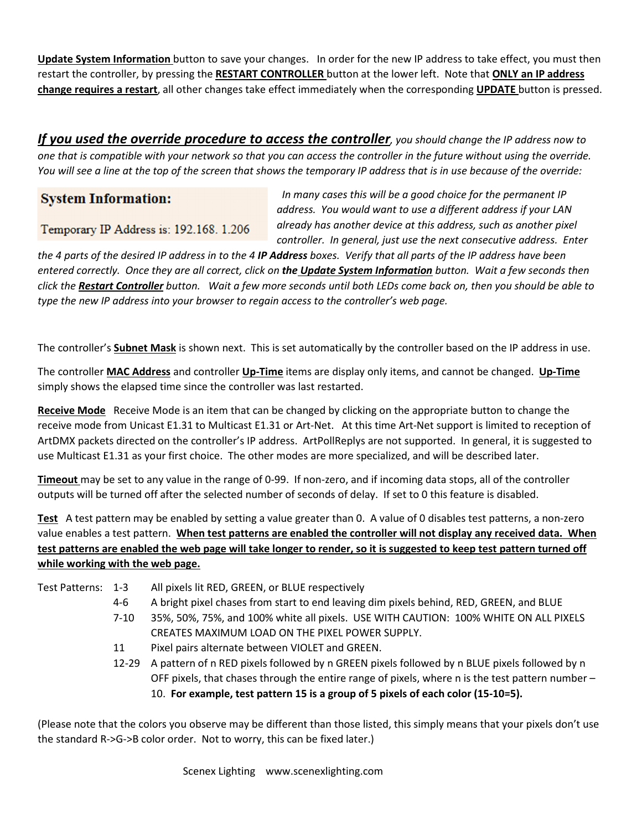**Update System Information** button to save your changes. In order for the new IP address to take effect, you must then restart the controller, by pressing the **RESTART CONTROLLER** button at the lower left. Note that **ONLY an IP address change requires a restart**, all other changes take effect immediately when the corresponding **UPDATE** button is pressed.

*If you used the override procedure to access the controller, you should change the IP address now to one that is compatible with your network so that you can access the controller in the future without using the override. You will see a line at the top of the screen that shows the temporary IP address that is in use because of the override:* 

# **System Information:**

Temporary IP Address is: 192.168. 1.206

 *In many cases this will be a good choice for the permanent IP address. You would want to use a different address if your LAN already has another device at this address, such as another pixel controller. In general, just use the next consecutive address. Enter* 

*the 4 parts of the desired IP address in to the 4 IP Address boxes. Verify that all parts of the IP address have been entered correctly. Once they are all correct, click on the Update System Information button. Wait a few seconds then click the Restart Controller button. Wait a few more seconds until both LEDs come back on, then you should be able to type the new IP address into your browser to regain access to the controller's web page.* 

The controller's **Subnet Mask** is shown next. This is set automatically by the controller based on the IP address in use.

The controller **MAC Address** and controller **Up-Time** items are display only items, and cannot be changed. **Up-Time** simply shows the elapsed time since the controller was last restarted.

**Receive Mode** Receive Mode is an item that can be changed by clicking on the appropriate button to change the receive mode from Unicast E1.31 to Multicast E1.31 or Art-Net. At this time Art-Net support is limited to reception of ArtDMX packets directed on the controller's IP address. ArtPollReplys are not supported. In general, it is suggested to use Multicast E1.31 as your first choice. The other modes are more specialized, and will be described later.

**Timeout** may be set to any value in the range of 0-99. If non-zero, and if incoming data stops, all of the controller outputs will be turned off after the selected number of seconds of delay. If set to 0 this feature is disabled.

**Test** A test pattern may be enabled by setting a value greater than 0. A value of 0 disables test patterns, a non-zero value enables a test pattern. **When test patterns are enabled the controller will not display any received data. When test patterns are enabled the web page will take longer to render, so it is suggested to keep test pattern turned off while working with the web page.** 

Test Patterns: 1-3 All pixels lit RED, GREEN, or BLUE respectively

- 4-6 A bright pixel chases from start to end leaving dim pixels behind, RED, GREEN, and BLUE
- 7-10 35%, 50%, 75%, and 100% white all pixels. USE WITH CAUTION: 100% WHITE ON ALL PIXELS CREATES MAXIMUM LOAD ON THE PIXEL POWER SUPPLY.
- 11 Pixel pairs alternate between VIOLET and GREEN.
- 12-29 A pattern of n RED pixels followed by n GREEN pixels followed by n BLUE pixels followed by n OFF pixels, that chases through the entire range of pixels, where n is the test pattern number – 10. **For example, test pattern 15 is a group of 5 pixels of each color (15-10=5).**

(Please note that the colors you observe may be different than those listed, this simply means that your pixels don't use the standard R->G->B color order. Not to worry, this can be fixed later.)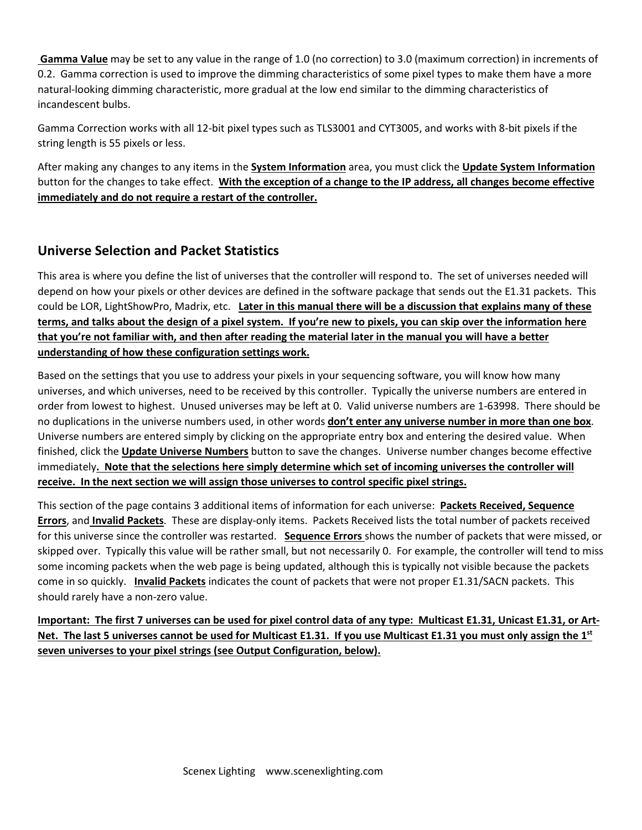**Gamma Value** may be set to any value in the range of 1.0 (no correction) to 3.0 (maximum correction) in increments of 0.2. Gamma correction is used to improve the dimming characteristics of some pixel types to make them have a more natural-looking dimming characteristic, more gradual at the low end similar to the dimming characteristics of incandescent bulbs.

Gamma Correction works with all 12-bit pixel types such as TLS3001 and CYT3005, and works with 8-bit pixels if the string length is 55 pixels or less.

After making any changes to any items in the **System Information** area, you must click the **Update System Information** button for the changes to take effect. **With the exception of a change to the IP address, all changes become effective immediately and do not require a restart of the controller.**

# **Universe Selection and Packet Statistics**

This area is where you define the list of universes that the controller will respond to. The set of universes needed will depend on how your pixels or other devices are defined in the software package that sends out the E1.31 packets. This could be LOR, LightShowPro, Madrix, etc. **Later in this manual there will be a discussion that explains many of these terms, and talks about the design of a pixel system. If you're new to pixels, you can skip over the information here that you're not familiar with, and then after reading the material later in the manual you will have a better understanding of how these configuration settings work.** 

Based on the settings that you use to address your pixels in your sequencing software, you will know how many universes, and which universes, need to be received by this controller. Typically the universe numbers are entered in order from lowest to highest. Unused universes may be left at 0. Valid universe numbers are 1-63998. There should be no duplications in the universe numbers used, in other words **don't enter any universe number in more than one box**. Universe numbers are entered simply by clicking on the appropriate entry box and entering the desired value. When finished, click the **Update Universe Numbers** button to save the changes. Universe number changes become effective immediately**. Note that the selections here simply determine which set of incoming universes the controller will receive. In the next section we will assign those universes to control specific pixel strings.**

This section of the page contains 3 additional items of information for each universe: **Packets Received, Sequence Errors**, and **Invalid Packets**. These are display-only items. Packets Received lists the total number of packets received for this universe since the controller was restarted. **Sequence Errors** shows the number of packets that were missed, or skipped over. Typically this value will be rather small, but not necessarily 0. For example, the controller will tend to miss some incoming packets when the web page is being updated, although this is typically not visible because the packets come in so quickly. **Invalid Packets** indicates the count of packets that were not proper E1.31/SACN packets. This should rarely have a non-zero value.

**Important: The first 7 universes can be used for pixel control data of any type: Multicast E1.31, Unicast E1.31, or Art-Net. The last 5 universes cannot be used for Multicast E1.31. If you use Multicast E1.31 you must only assign the 1st seven universes to your pixel strings (see Output Configuration, below).**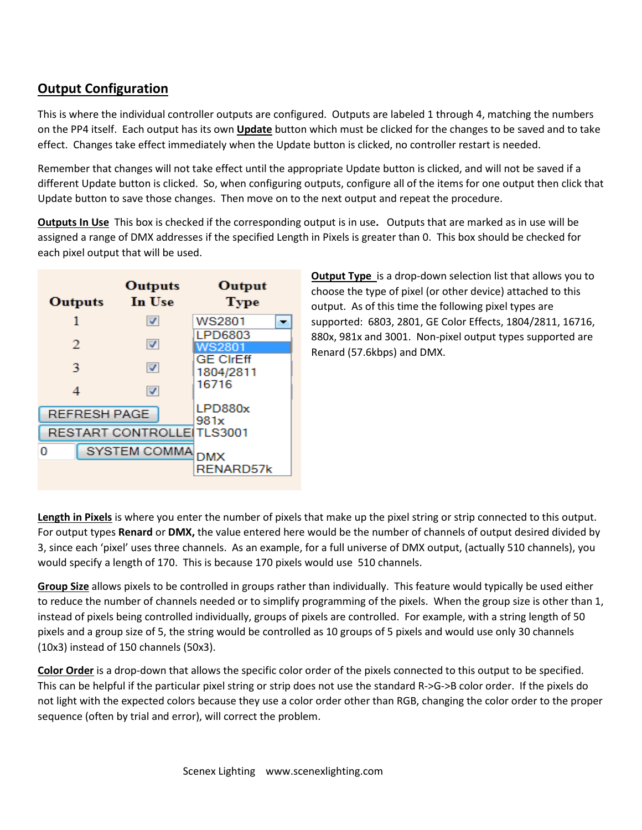# **Output Configuration**

This is where the individual controller outputs are configured. Outputs are labeled 1 through 4, matching the numbers on the PP4 itself. Each output has its own **Update** button which must be clicked for the changes to be saved and to take effect. Changes take effect immediately when the Update button is clicked, no controller restart is needed.

Remember that changes will not take effect until the appropriate Update button is clicked, and will not be saved if a different Update button is clicked. So, when configuring outputs, configure all of the items for one output then click that Update button to save those changes. Then move on to the next output and repeat the procedure.

**Outputs In Use** This box is checked if the corresponding output is in use**.** Outputs that are marked as in use will be assigned a range of DMX addresses if the specified Length in Pixels is greater than 0. This box should be checked for each pixel output that will be used.

| Outputs                   | Outputs<br>In Use   | Output<br><b>Type</b> |
|---------------------------|---------------------|-----------------------|
| 1                         | ☑                   | WS2801                |
|                           |                     | LPD6803               |
| 2                         | ☑                   | WS2801                |
| 3                         | ☑                   | <b>GE CIrEff</b>      |
|                           |                     | 1804/2811             |
|                           | ☑                   | 16716                 |
| <b>REFRESH PAGE</b>       |                     | LPD880x               |
|                           |                     | 981x                  |
| RESTART CONTROLLE TLS3001 |                     |                       |
| o                         | <b>SYSTEM COMMA</b> | <b>DMX</b>            |
|                           |                     | RENARD57k             |

**Output Type** is a drop-down selection list that allows you to choose the type of pixel (or other device) attached to this output. As of this time the following pixel types are supported: 6803, 2801, GE Color Effects, 1804/2811, 16716, 880x, 981x and 3001. Non-pixel output types supported are Renard (57.6kbps) and DMX.

**Length in Pixels** is where you enter the number of pixels that make up the pixel string or strip connected to this output. For output types **Renard** or **DMX,** the value entered here would be the number of channels of output desired divided by 3, since each 'pixel' uses three channels. As an example, for a full universe of DMX output, (actually 510 channels), you would specify a length of 170. This is because 170 pixels would use 510 channels.

**Group Size** allows pixels to be controlled in groups rather than individually. This feature would typically be used either to reduce the number of channels needed or to simplify programming of the pixels. When the group size is other than 1, instead of pixels being controlled individually, groups of pixels are controlled. For example, with a string length of 50 pixels and a group size of 5, the string would be controlled as 10 groups of 5 pixels and would use only 30 channels (10x3) instead of 150 channels (50x3).

**Color Order** is a drop-down that allows the specific color order of the pixels connected to this output to be specified. This can be helpful if the particular pixel string or strip does not use the standard R->G->B color order. If the pixels do not light with the expected colors because they use a color order other than RGB, changing the color order to the proper sequence (often by trial and error), will correct the problem.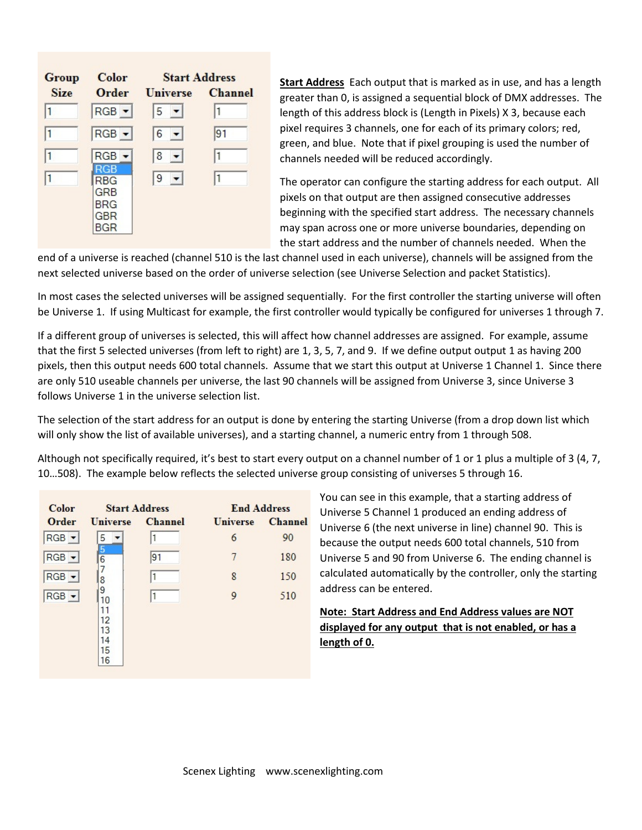| Group       | Color                                                | <b>Start Address</b> |                |  |  |
|-------------|------------------------------------------------------|----------------------|----------------|--|--|
| <b>Size</b> | Order                                                | <b>Universe</b>      | <b>Channel</b> |  |  |
| 1           | $RGB -$                                              | $5 -$                | 1              |  |  |
| 1           | $RGB -$                                              | $6 -$                | 91             |  |  |
|             | $RGB -$                                              | $ 8 -$               | 11             |  |  |
|             | <b>RGB</b><br>RBG<br>GRB<br><b>BRG</b><br>GBR<br>BGR | $ 9 -$               | 1              |  |  |

**Start Address** Each output that is marked as in use, and has a length greater than 0, is assigned a sequential block of DMX addresses. The length of this address block is (Length in Pixels) X 3, because each pixel requires 3 channels, one for each of its primary colors; red, green, and blue. Note that if pixel grouping is used the number of channels needed will be reduced accordingly.

The operator can configure the starting address for each output. All pixels on that output are then assigned consecutive addresses beginning with the specified start address. The necessary channels may span across one or more universe boundaries, depending on the start address and the number of channels needed. When the

end of a universe is reached (channel 510 is the last channel used in each universe), channels will be assigned from the next selected universe based on the order of universe selection (see Universe Selection and packet Statistics).

In most cases the selected universes will be assigned sequentially. For the first controller the starting universe will often be Universe 1. If using Multicast for example, the first controller would typically be configured for universes 1 through 7.

If a different group of universes is selected, this will affect how channel addresses are assigned. For example, assume that the first 5 selected universes (from left to right) are 1, 3, 5, 7, and 9. If we define output output 1 as having 200 pixels, then this output needs 600 total channels. Assume that we start this output at Universe 1 Channel 1. Since there are only 510 useable channels per universe, the last 90 channels will be assigned from Universe 3, since Universe 3 follows Universe 1 in the universe selection list.

The selection of the start address for an output is done by entering the starting Universe (from a drop down list which will only show the list of available universes), and a starting channel, a numeric entry from 1 through 508.

Although not specifically required, it's best to start every output on a channel number of 1 or 1 plus a multiple of 3 (4, 7, 10…508). The example below reflects the selected universe group consisting of universes 5 through 16.

| Color                       | <b>Start Address</b>                        |                | <b>End Address</b> |                |
|-----------------------------|---------------------------------------------|----------------|--------------------|----------------|
| Order                       | <b>Universe</b>                             | <b>Channel</b> | <b>Universe</b>    | <b>Channel</b> |
| $RGB$ $\blacktriangleright$ | 5                                           |                | 6                  | 90             |
| $RGB -$                     | 5<br>$\overline{6}$                         | 91             | 7                  | 180            |
| $RGB -$                     | 8                                           |                | 8                  | 150            |
| $RGB -$                     | 9<br>10<br>11<br>12<br>13<br>14<br>15<br>16 |                | 9                  | 510            |

You can see in this example, that a starting address of Universe 5 Channel 1 produced an ending address of Universe 6 (the next universe in line) channel 90. This is because the output needs 600 total channels, 510 from Universe 5 and 90 from Universe 6. The ending channel is calculated automatically by the controller, only the starting address can be entered.

# **Note: Start Address and End Address values are NOT displayed for any output that is not enabled, or has a length of 0.**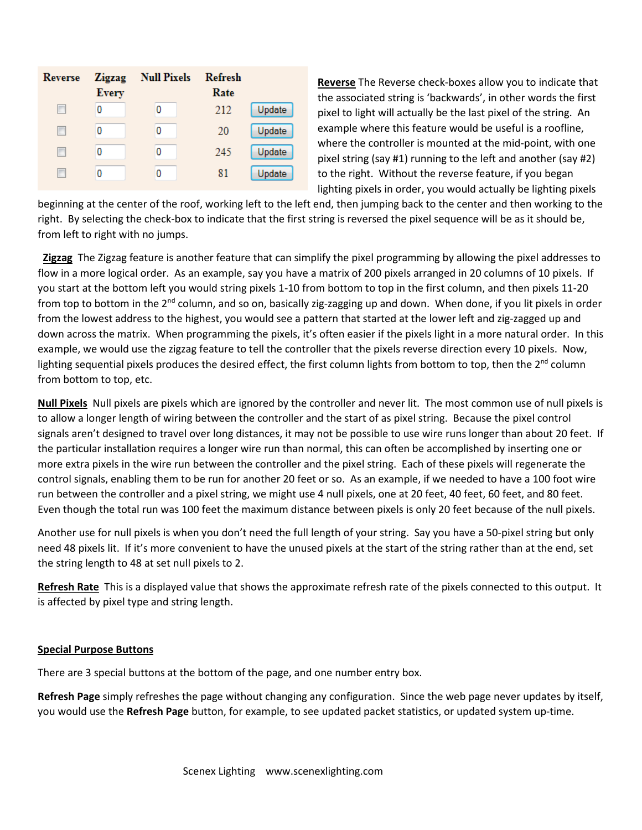| Reverse | <b>Zigzag</b><br><b>Every</b> | <b>Null Pixels</b> | <b>Refresh</b><br>Rate |        |
|---------|-------------------------------|--------------------|------------------------|--------|
| г       |                               | 0                  | 212                    | Update |
| Е       |                               | 0                  | 20                     | Update |
| ш       |                               | 0                  | 245                    | Update |
|         |                               | 0                  | 81                     | Update |

**Reverse** The Reverse check-boxes allow you to indicate that the associated string is 'backwards', in other words the first pixel to light will actually be the last pixel of the string. An example where this feature would be useful is a roofline, where the controller is mounted at the mid-point, with one pixel string (say #1) running to the left and another (say #2) to the right. Without the reverse feature, if you began lighting pixels in order, you would actually be lighting pixels

beginning at the center of the roof, working left to the left end, then jumping back to the center and then working to the right. By selecting the check-box to indicate that the first string is reversed the pixel sequence will be as it should be, from left to right with no jumps.

 **Zigzag** The Zigzag feature is another feature that can simplify the pixel programming by allowing the pixel addresses to flow in a more logical order. As an example, say you have a matrix of 200 pixels arranged in 20 columns of 10 pixels. If you start at the bottom left you would string pixels 1-10 from bottom to top in the first column, and then pixels 11-20 from top to bottom in the 2<sup>nd</sup> column, and so on, basically zig-zagging up and down. When done, if you lit pixels in order from the lowest address to the highest, you would see a pattern that started at the lower left and zig-zagged up and down across the matrix. When programming the pixels, it's often easier if the pixels light in a more natural order. In this example, we would use the zigzag feature to tell the controller that the pixels reverse direction every 10 pixels. Now, lighting sequential pixels produces the desired effect, the first column lights from bottom to top, then the  $2^{nd}$  column from bottom to top, etc.

**Null Pixels** Null pixels are pixels which are ignored by the controller and never lit. The most common use of null pixels is to allow a longer length of wiring between the controller and the start of as pixel string. Because the pixel control signals aren't designed to travel over long distances, it may not be possible to use wire runs longer than about 20 feet. If the particular installation requires a longer wire run than normal, this can often be accomplished by inserting one or more extra pixels in the wire run between the controller and the pixel string. Each of these pixels will regenerate the control signals, enabling them to be run for another 20 feet or so. As an example, if we needed to have a 100 foot wire run between the controller and a pixel string, we might use 4 null pixels, one at 20 feet, 40 feet, 60 feet, and 80 feet. Even though the total run was 100 feet the maximum distance between pixels is only 20 feet because of the null pixels.

Another use for null pixels is when you don't need the full length of your string. Say you have a 50-pixel string but only need 48 pixels lit. If it's more convenient to have the unused pixels at the start of the string rather than at the end, set the string length to 48 at set null pixels to 2.

**Refresh Rate** This is a displayed value that shows the approximate refresh rate of the pixels connected to this output. It is affected by pixel type and string length.

#### **Special Purpose Buttons**

There are 3 special buttons at the bottom of the page, and one number entry box.

**Refresh Page** simply refreshes the page without changing any configuration. Since the web page never updates by itself, you would use the **Refresh Page** button, for example, to see updated packet statistics, or updated system up-time.